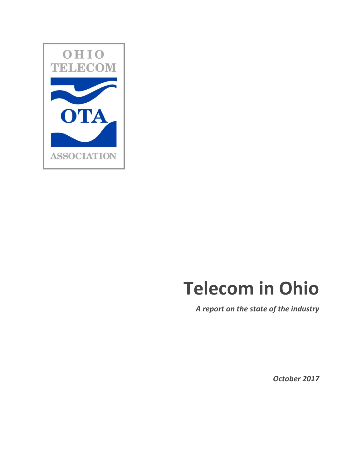

# **Telecom in Ohio**

*A report on the state of the industry*

*October 2017*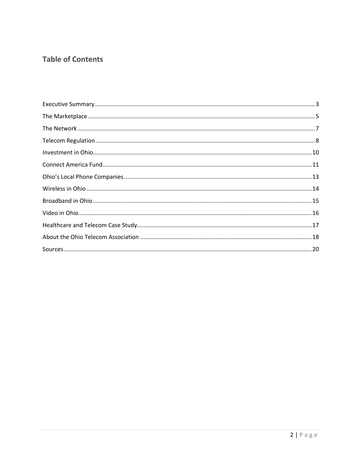# **Table of Contents**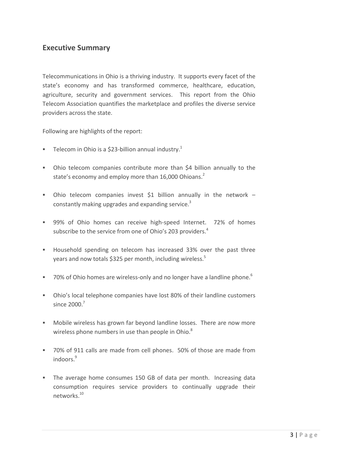## <span id="page-2-0"></span>**Executive Summary**

Telecommunications in Ohio is a thriving industry. It supports every facet of the state's economy and has transformed commerce, healthcare, education, agriculture, security and government services. This report from the Ohio Telecom Association quantifies the marketplace and profiles the diverse service providers across the state.

Following are highlights of the report:

- **Telecom in Ohio is a \$23-billion annual industry.**<sup>1</sup>
- Ohio telecom companies contribute more than \$4 billion annually to the state's economy and employ more than 16,000 Ohioans.<sup>2</sup>
- Ohio telecom companies invest \$1 billion annually in the network  $$ constantly making upgrades and expanding service.<sup>3</sup>
- **99%** of Ohio homes can receive high-speed Internet. 72% of homes subscribe to the service from one of Ohio's 203 providers.<sup>4</sup>
- Household spending on telecom has increased 33% over the past three years and now totals \$325 per month, including wireless.<sup>5</sup>
- 70% of Ohio homes are wireless-only and no longer have a landline phone.<sup>6</sup>
- Ohio's local telephone companies have lost 80% of their landline customers since 2000.<sup>7</sup>
- Mobile wireless has grown far beyond landline losses. There are now more wireless phone numbers in use than people in Ohio.<sup>8</sup>
- 70% of 911 calls are made from cell phones. 50% of those are made from indoors.<sup>9</sup>
- The average home consumes 150 GB of data per month. Increasing data consumption requires service providers to continually upgrade their networks.<sup>10</sup>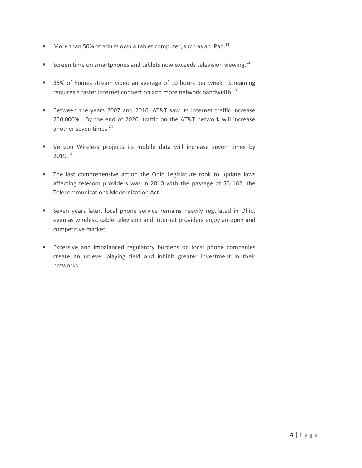- More than 50% of adults own a tablet computer, such as an iPad.<sup>11</sup>
- Screen time on smartphones and tablets now exceeds television viewing.<sup>12</sup>
- 35% of homes stream video an average of 10 hours per week. Streaming requires a faster Internet connection and more network bandwidth.<sup>13</sup>
- Between the years 2007 and 2016, AT&T saw its Internet traffic increase 250,000%. By the end of 2020, traffic on the AT&T network will increase another seven times.<sup>14</sup>
- Verizon Wireless projects its mobile data will increase seven times by 2019.<sup>15</sup>
- **The last comprehensive action the Ohio Legislature took to update laws** affecting telecom providers was in 2010 with the passage of SB 162, the Telecommunications Modernization Act.
- Seven years later, local phone service remains heavily regulated in Ohio, even as wireless, cable television and Internet providers enjoy an open and competitive market.
- **Excessive and imbalanced regulatory burdens on local phone companies** create an unlevel playing field and inhibit greater investment in their networks.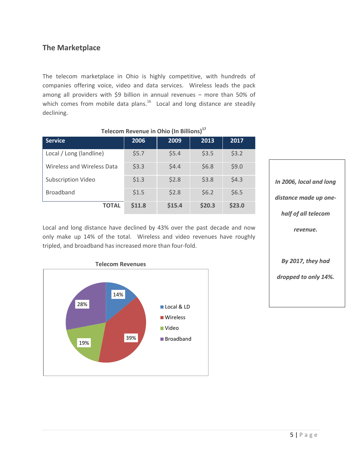# <span id="page-4-0"></span>**The Marketplace**

The telecom marketplace in Ohio is highly competitive, with hundreds of companies offering voice, video and data services. Wireless leads the pack among all providers with \$9 billion in annual revenues – more than 50% of which comes from mobile data plans. $^{16}$  Local and long distance are steadily declining.

| <u>ICICCOIN INCRENTAC III ONIO (III DINIONIST</u> |        |        |        |        |
|---------------------------------------------------|--------|--------|--------|--------|
| <b>Service</b>                                    | 2006   | 2009   | 2013   | 2017   |
| Local / Long (landline)                           | \$5.7  | \$5.4  | \$3.5  | \$3.2  |
| <b>Wireless and Wireless Data</b>                 | \$3.3  | \$4.4  | \$6.8  | \$9.0  |
| <b>Subscription Video</b>                         | \$1.3  | \$2.8  | \$3.8  | \$4.3  |
| <b>Broadband</b>                                  | \$1.5  | \$2.8  | \$6.2  | \$6.5  |
| <b>TOTAL</b>                                      | \$11.8 | \$15.4 | \$20.3 | \$23.0 |

 **Telecom Revenue in Ohio (In Billions)<sup>17</sup>**

Local and long distance have declined by 43% over the past decade and now only make up 14% of the total. Wireless and video revenues have roughly tripled, and broadband has increased more than four-fold.



*In 2006, local and long distance made up onehalf of all telecom revenue. By 2017, they had dropped to only 14%.*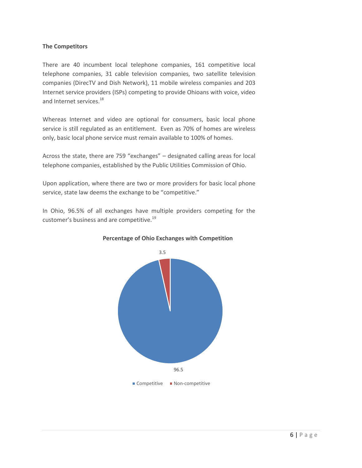#### **The Competitors**

There are 40 incumbent local telephone companies, 161 competitive local telephone companies, 31 cable television companies, two satellite television companies (DirecTV and Dish Network), 11 mobile wireless companies and 203 Internet service providers (ISPs) competing to provide Ohioans with voice, video and Internet services.<sup>18</sup>

Whereas Internet and video are optional for consumers, basic local phone service is still regulated as an entitlement. Even as 70% of homes are wireless only, basic local phone service must remain available to 100% of homes.

Across the state, there are 759 "exchanges" – designated calling areas for local telephone companies, established by the Public Utilities Commission of Ohio.

Upon application, where there are two or more providers for basic local phone service, state law deems the exchange to be "competitive."

In Ohio, 96.5% of all exchanges have multiple providers competing for the customer's business and are competitive.<sup>19</sup>



 **Percentage of Ohio Exchanges with Competition**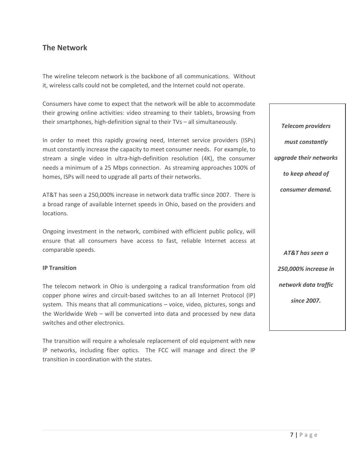## <span id="page-6-0"></span>**The Network**

The wireline telecom network is the backbone of all communications. Without it, wireless calls could not be completed, and the Internet could not operate.

Consumers have come to expect that the network will be able to accommodate their growing online activities: video streaming to their tablets, browsing from their smartphones, high-definition signal to their TVs – all simultaneously.

In order to meet this rapidly growing need, Internet service providers (ISPs) must constantly increase the capacity to meet consumer needs. For example, to stream a single video in ultra-high-definition resolution (4K), the consumer needs a minimum of a 25 Mbps connection. As streaming approaches 100% of homes, ISPs will need to upgrade all parts of their networks.

AT&T has seen a 250,000% increase in network data traffic since 2007. There is a broad range of available Internet speeds in Ohio, based on the providers and locations.

Ongoing investment in the network, combined with efficient public policy, will ensure that all consumers have access to fast, reliable Internet access at comparable speeds.

#### **IP Transition**

The telecom network in Ohio is undergoing a radical transformation from old copper phone wires and circuit-based switches to an all Internet Protocol (IP) system. This means that all communications – voice, video, pictures, songs and the Worldwide Web – will be converted into data and processed by new data switches and other electronics.

<span id="page-6-1"></span>The transition will require a wholesale replacement of old equipment with new IP networks, including fiber optics. The FCC will manage and direct the IP transition in coordination with the states.

*Telecom providers must constantly upgrade their networks to keep ahead of consumer demand. AT&T has seen a 250,000% increase in network data traffic since 2007.*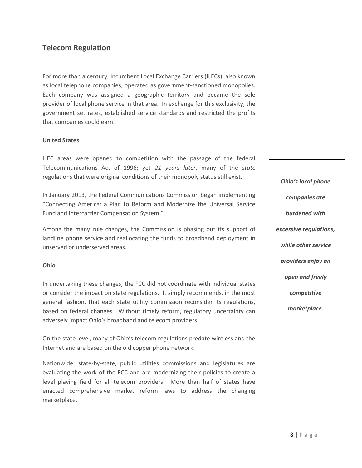# **Telecom Regulation**

For more than a century, Incumbent Local Exchange Carriers (ILECs), also known as local telephone companies, operated as government-sanctioned monopolies. Each company was assigned a geographic territory and became the sole provider of local phone service in that area. In exchange for this exclusivity, the government set rates, established service standards and restricted the profits that companies could earn.

#### **United States**

ILEC areas were opened to competition with the passage of the federal Telecommunications Act of 1996; yet *21 years later*, many of the *state* regulations that were original conditions of their monopoly status still exist.

In January 2013, the Federal Communications Commission began implementing "Connecting America: a Plan to Reform and Modernize the Universal Service Fund and Intercarrier Compensation System."

Among the many rule changes, the Commission is phasing out its support of landline phone service and reallocating the funds to broadband deployment in unserved or underserved areas.

#### **Ohio**

In undertaking these changes, the FCC did not coordinate with individual states or consider the impact on state regulations. It simply recommends, in the most general fashion, that each state utility commission reconsider its regulations, based on federal changes. Without timely reform, regulatory uncertainty can adversely impact Ohio's broadband and telecom providers.

On the state level, many of Ohio's telecom regulations predate wireless and the Internet and are based on the old copper phone network.

Nationwide, state-by-state, public utilities commissions and legislatures are evaluating the work of the FCC and are modernizing their policies to create a level playing field for all telecom providers. More than half of states have enacted comprehensive market reform laws to address the changing marketplace.

*Ohio's local phone companies are burdened with excessive regulations, while other service providers enjoy an open and freely competitive marketplace.*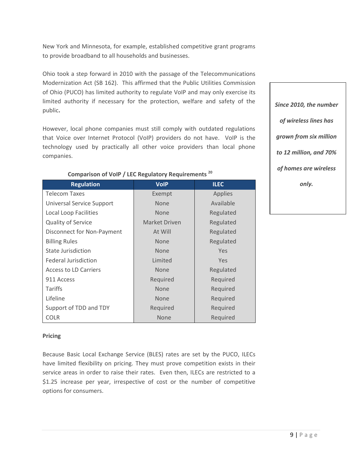New York and Minnesota, for example, established competitive grant programs to provide broadband to all households and businesses.

Ohio took a step forward in 2010 with the passage of the Telecommunications Modernization Act (SB 162). This affirmed that the Public Utilities Commission of Ohio (PUCO) has limited authority to regulate VoIP and may only exercise its limited authority if necessary for the protection, welfare and safety of the public**.** 

However, local phone companies must still comply with outdated regulations that Voice over Internet Protocol (VoIP) providers do not have. VoIP is the technology used by practically all other voice providers than local phone companies.

| <b>Regulation</b>            | <b>VolP</b>   | <b>ILEC</b>    |
|------------------------------|---------------|----------------|
| <b>Telecom Taxes</b>         | Exempt        | <b>Applies</b> |
| Universal Service Support    | <b>None</b>   | Available      |
| Local Loop Facilities        | <b>None</b>   | Regulated      |
| <b>Quality of Service</b>    | Market Driven | Regulated      |
| Disconnect for Non-Payment   | At Will       | Regulated      |
| <b>Billing Rules</b>         | <b>None</b>   | Regulated      |
| <b>State Jurisdiction</b>    | <b>None</b>   | Yes            |
| <b>Federal Jurisdiction</b>  | Limited       | Yes            |
| <b>Access to LD Carriers</b> | <b>None</b>   | Regulated      |
| 911 Access                   | Required      | Required       |
| Tariffs                      | <b>None</b>   | Required       |
| Lifeline                     | <b>None</b>   | Required       |
| Support of TDD and TDY       | Required      | Required       |
| <b>COLR</b>                  | <b>None</b>   | Required       |

### **Comparison of VoIP / LEC Regulatory Requirements <sup>20</sup>**

### **Pricing**

Because Basic Local Exchange Service (BLES) rates are set by the PUCO, ILECs have limited flexibility on pricing. They must prove competition exists in their service areas in order to raise their rates. Even then, ILECs are restricted to a \$1.25 increase per year, irrespective of cost or the number of competitive options for consumers.

*Since 2010, the number of wireless lines has grown from six million to 12 million, and 70% of homes are wireless only.*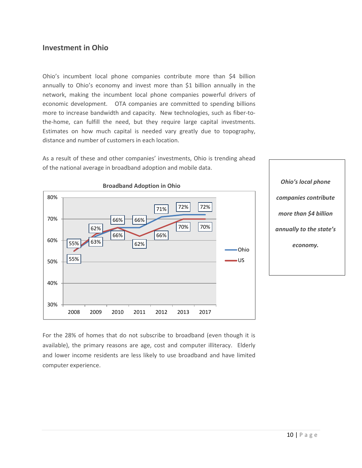## <span id="page-9-0"></span>**Investment in Ohio**

Ohio's incumbent local phone companies contribute more than \$4 billion annually to Ohio's economy and invest more than \$1 billion annually in the network, making the incumbent local phone companies powerful drivers of economic development. OTA companies are committed to spending billions more to increase bandwidth and capacity. New technologies, such as fiber-tothe-home, can fulfill the need, but they require large capital investments. Estimates on how much capital is needed vary greatly due to topography, distance and number of customers in each location.

As a result of these and other companies' investments, Ohio is trending ahead of the national average in broadband adoption and mobile data.



*Ohio's local phone companies contribute more than \$4 billion annually to the state's economy.*

For the 28% of homes that do not subscribe to broadband (even though it is available), the primary reasons are age, cost and computer illiteracy. Elderly and lower income residents are less likely to use broadband and have limited computer experience.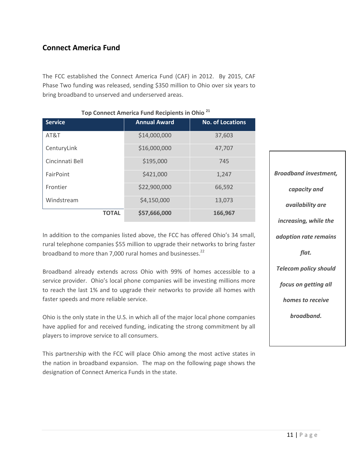# <span id="page-10-0"></span>**Connect America Fund**

The FCC established the Connect America Fund (CAF) in 2012. By 2015, CAF Phase Two funding was released, sending \$350 million to Ohio over six years to bring broadband to unserved and underserved areas.

| <b>Service</b>  | <b>Annual Award</b> | <b>No. of Locations</b> |  |
|-----------------|---------------------|-------------------------|--|
| AT&T            | \$14,000,000        | 37,603                  |  |
| CenturyLink     | \$16,000,000        | 47,707                  |  |
| Cincinnati Bell | \$195,000           | 745                     |  |
| FairPoint       | \$421,000           | 1,247                   |  |
| Frontier        | \$22,900,000        | 66,592                  |  |
| Windstream      | \$4,150,000         | 13,073                  |  |
| <b>TOTAL</b>    | \$57,666,000        | 166,967                 |  |

#### **Top Connect America Fund Recipients in Ohio <sup>21</sup>**

In addition to the companies listed above, the FCC has offered Ohio's 34 small, rural telephone companies \$55 million to upgrade their networks to bring faster broadband to more than 7,000 rural homes and businesses.<sup>22</sup>

Broadband already extends across Ohio with 99% of homes accessible to a service provider. Ohio's local phone companies will be investing millions more to reach the last 1% and to upgrade their networks to provide all homes with faster speeds and more reliable service.

Ohio is the only state in the U.S. in which all of the major local phone companies have applied for and received funding, indicating the strong commitment by all players to improve service to all consumers.

This partnership with the FCC will place Ohio among the most active states in the nation in broadband expansion. The map on the following page shows the designation of Connect America Funds in the state.

*Broadband investment, capacity and availability are increasing, while the adoption rate remains flat. Telecom policy should focus on getting all homes to receive broadband.*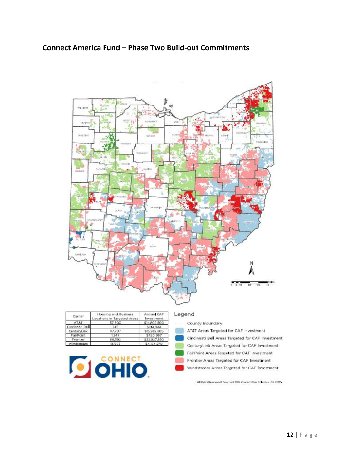# **Connect America Fund – Phase Two Build-out Commitments**



| Carrier         | Housing and Business<br>Locations in Targeted Areas | Annual CAF<br>Investment |
|-----------------|-----------------------------------------------------|--------------------------|
| AT&T            | 37,603                                              | \$14,802,500             |
| Cincinnati Bell | 745                                                 | \$194,944                |
| CenturyLink     | 47,707                                              | \$15,982,805             |
| FairPoint       | 1.247                                               | \$420,997                |
| Frontier        | 66,592                                              | \$22,927,850             |
| Windstream      | 13.073                                              | \$4,154,270              |



#### Legend

County Boundary AT&T Areas Targeted for CAF Investment Cincinnati Bell Areas Targeted for CAF Investment CenturyLink Areas Targeted for CAF Investment FairPoint Areas Targeted for CAF Investment Frontier Areas Targeted for CAF Investment Windstream Areas Targeted for CAF Investment

All Rights Reserved, © Copyright 2015, Connect Ohio, Countros, OH 43215.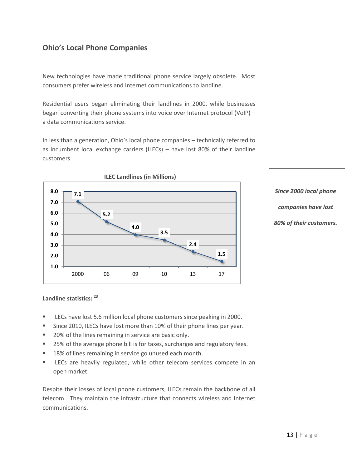# <span id="page-12-0"></span>**Ohio's Local Phone Companies**

New technologies have made traditional phone service largely obsolete. Most consumers prefer wireless and Internet communications to landline.

Residential users began eliminating their landlines in 2000, while businesses began converting their phone systems into voice over Internet protocol (VoIP) – a data communications service.

In less than a generation, Ohio's local phone companies – technically referred to as incumbent local exchange carriers (ILECs) – have lost 80% of their landline customers.



*Since 2000 local phone companies have lost 80% of their customers.*

#### **Landline statistics: <sup>23</sup>**

- **ILECs have lost 5.6 million local phone customers since peaking in 2000.**
- Since 2010, ILECs have lost more than 10% of their phone lines per year.
- 20% of the lines remaining in service are basic only.
- 25% of the average phone bill is for taxes, surcharges and regulatory fees.
- **18% of lines remaining in service go unused each month.**
- **ILECs are heavily regulated, while other telecom services compete in an** open market.

Despite their losses of local phone customers, ILECs remain the backbone of all telecom. They maintain the infrastructure that connects wireless and Internet communications.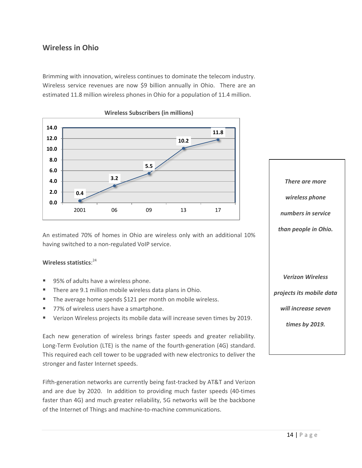# <span id="page-13-0"></span>**Wireless in Ohio**

Brimming with innovation, wireless continues to dominate the telecom industry. Wireless service revenues are now \$9 billion annually in Ohio. There are an estimated 11.8 million wireless phones in Ohio for a population of 11.4 million.



An estimated 70% of homes in Ohio are wireless only with an additional 10% having switched to a non-regulated VoIP service.

#### **Wireless statistics**: 24

- 95% of adults have a wireless phone.
- **There are 9.1 million mobile wireless data plans in Ohio.**
- The average home spends \$121 per month on mobile wireless.
- 77% of wireless users have a smartphone.
- Verizon Wireless projects its mobile data will increase seven times by 2019.

Each new generation of wireless brings faster speeds and greater reliability. Long-Term Evolution (LTE) is the name of the fourth-generation (4G) standard. This required each cell tower to be upgraded with new electronics to deliver the stronger and faster Internet speeds.

Fifth-generation networks are currently being fast-tracked by AT&T and Verizon and are due by 2020. In addition to providing much faster speeds (40-times faster than 4G) and much greater reliability, 5G networks will be the backbone of the Internet of Things and machine-to-machine communications.

*wireless phone numbers in service than people in Ohio. Verizon Wireless projects its mobile data will increase seven times by 2019.*

*There are more*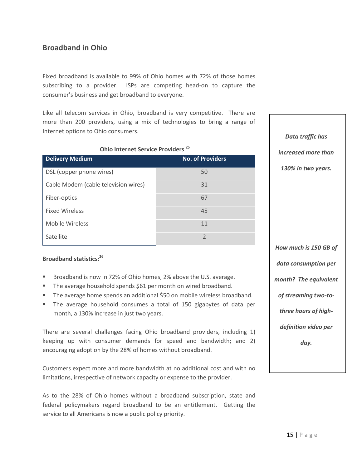# <span id="page-14-0"></span>**Broadband in Ohio**

Fixed broadband is available to 99% of Ohio homes with 72% of those homes subscribing to a provider. ISPs are competing head-on to capture the consumer's business and get broadband to everyone.

Like all telecom services in Ohio, broadband is very competitive. There are more than 200 providers, using a mix of technologies to bring a range of Internet options to Ohio consumers.

| Ohio Internet Service Providers <sup>25</sup> |  |  |
|-----------------------------------------------|--|--|
|-----------------------------------------------|--|--|

| <b>Delivery Medium</b>               | <b>No. of Providers</b> |
|--------------------------------------|-------------------------|
| DSL (copper phone wires)             | 50                      |
| Cable Modem (cable television wires) | 31                      |
| Fiber-optics                         | 67                      |
| <b>Fixed Wireless</b>                | 45                      |
| <b>Mobile Wireless</b>               | 11                      |
| Satellite                            | $\mathfrak{D}$          |

#### **Broadband statistics:<sup>26</sup>**

- Broadband is now in 72% of Ohio homes, 2% above the U.S. average.
- The average household spends \$61 per month on wired broadband.
- The average home spends an additional \$50 on mobile wireless broadband.
- The average household consumes a total of 150 gigabytes of data per month, a 130% increase in just two years.

There are several challenges facing Ohio broadband providers, including 1) keeping up with consumer demands for speed and bandwidth; and 2) encouraging adoption by the 28% of homes without broadband.

Customers expect more and more bandwidth at no additional cost and with no limitations, irrespective of network capacity or expense to the provider.

As to the 28% of Ohio homes without a broadband subscription, state and federal policymakers regard broadband to be an entitlement. Getting the service to all Americans is now a public policy priority.

*Data traffic has increased more than 130% in two years. How much is 150 GB of data consumption per month? The equivalent of streaming two-tothree hours of highdefinition video per day.*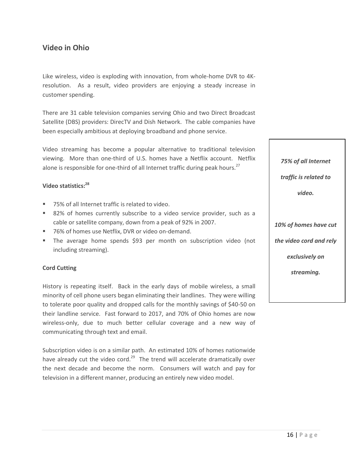# <span id="page-15-0"></span>**Video in Ohio**

Like wireless, video is exploding with innovation, from whole-home DVR to 4Kresolution. As a result, video providers are enjoying a steady increase in customer spending.

There are 31 cable television companies serving Ohio and two Direct Broadcast Satellite (DBS) providers: DirecTV and Dish Network. The cable companies have been especially ambitious at deploying broadband and phone service.

Video streaming has become a popular alternative to traditional television viewing. More than one-third of U.S. homes have a Netflix account. Netflix alone is responsible for one-third of all Internet traffic during peak hours.<sup>27</sup>

#### **Video statistics:<sup>28</sup>**

- 75% of all Internet traffic is related to video.
- 82% of homes currently subscribe to a video service provider, such as a cable or satellite company, down from a peak of 92% in 2007.
- 76% of homes use Netflix, DVR or video on-demand.
- The average home spends \$93 per month on subscription video (not including streaming).

#### **Cord Cutting**

History is repeating itself. Back in the early days of mobile wireless, a small minority of cell phone users began eliminating their landlines. They were willing to tolerate poor quality and dropped calls for the monthly savings of \$40-50 on their landline service. Fast forward to 2017, and 70% of Ohio homes are now wireless-only, due to much better cellular coverage and a new way of communicating through text and email.

Subscription video is on a similar path. An estimated 10% of homes nationwide have already cut the video cord.<sup>29</sup> The trend will accelerate dramatically over the next decade and become the norm. Consumers will watch and pay for television in a different manner, producing an entirely new video model.

*75% of all Internet traffic is related to video. 10% of homes have cut the video cord and rely exclusively on streaming.*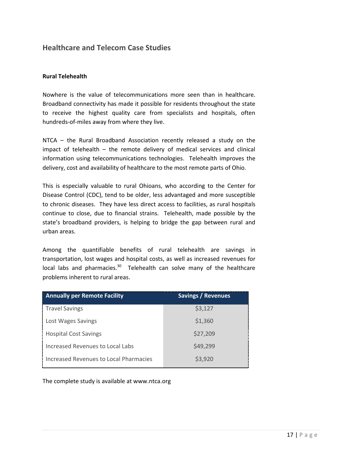## <span id="page-16-0"></span>**Healthcare and Telecom Case Studies**

#### **Rural Telehealth**

Nowhere is the value of telecommunications more seen than in healthcare. Broadband connectivity has made it possible for residents throughout the state to receive the highest quality care from specialists and hospitals, often hundreds-of-miles away from where they live.

NTCA – the Rural Broadband Association recently released a study on the impact of telehealth – the remote delivery of medical services and clinical information using telecommunications technologies. Telehealth improves the delivery, cost and availability of healthcare to the most remote parts of Ohio.

This is especially valuable to rural Ohioans, who according to the Center for Disease Control (CDC), tend to be older, less advantaged and more susceptible to chronic diseases. They have less direct access to facilities, as rural hospitals continue to close, due to financial strains. Telehealth, made possible by the state's broadband providers, is helping to bridge the gap between rural and urban areas.

Among the quantifiable benefits of rural telehealth are savings in transportation, lost wages and hospital costs, as well as increased revenues for local labs and pharmacies.<sup>30</sup> Telehealth can solve many of the healthcare problems inherent to rural areas.

| <b>Annually per Remote Facility</b>    | <b>Savings / Revenues</b> |
|----------------------------------------|---------------------------|
| <b>Travel Savings</b>                  | \$3,127                   |
| Lost Wages Savings                     | \$1,360                   |
| <b>Hospital Cost Savings</b>           | \$27,209                  |
| Increased Revenues to Local Labs       | \$49,299                  |
| Increased Revenues to Local Pharmacies | \$3,920                   |

The complete study is available at www.ntca.org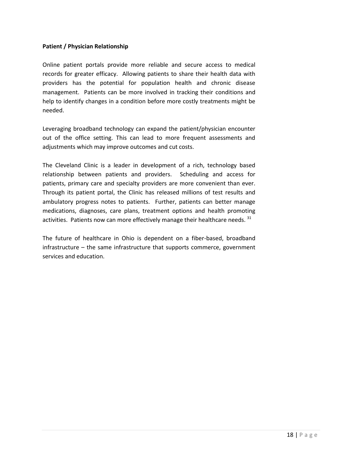#### <span id="page-17-0"></span>**Patient / Physician Relationship**

Online patient portals provide more reliable and secure access to medical records for greater efficacy. Allowing patients to share their health data with providers has the potential for population health and chronic disease management. Patients can be more involved in tracking their conditions and help to identify changes in a condition before more costly treatments might be needed.

Leveraging broadband technology can expand the patient/physician encounter out of the office setting. This can lead to more frequent assessments and adjustments which may improve outcomes and cut costs.

The Cleveland Clinic is a leader in development of a rich, technology based relationship between patients and providers. Scheduling and access for patients, primary care and specialty providers are more convenient than ever. Through its patient portal, the Clinic has released millions of test results and ambulatory progress notes to patients. Further, patients can better manage medications, diagnoses, care plans, treatment options and health promoting activities. Patients now can more effectively manage their healthcare needs. 31

The future of healthcare in Ohio is dependent on a fiber-based, broadband infrastructure – the same infrastructure that supports commerce, government services and education.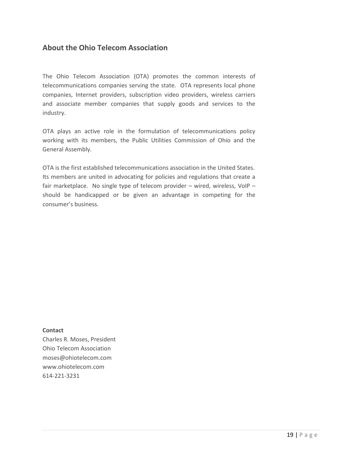## **About the Ohio Telecom Association**

The Ohio Telecom Association (OTA) promotes the common interests of telecommunications companies serving the state. OTA represents local phone companies, Internet providers, subscription video providers, wireless carriers and associate member companies that supply goods and services to the industry.

OTA plays an active role in the formulation of telecommunications policy working with its members, the Public Utilities Commission of Ohio and the General Assembly.

OTA is the first established telecommunications association in the United States. Its members are united in advocating for policies and regulations that create a fair marketplace. No single type of telecom provider – wired, wireless, VoIP – should be handicapped or be given an advantage in competing for the consumer's business.

#### **Contact**

Charles R. Moses, President Ohio Telecom Association moses@ohiotelecom.com www.ohiotelecom.com 614-221-3231